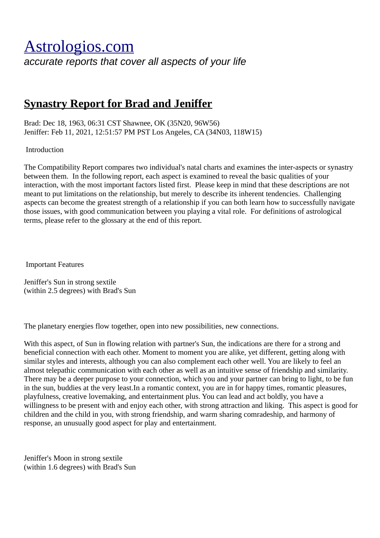## [Astrologios.com](http://astrologios.com/)

*accurate reports that cover all aspects of your life*

## **Synastry Report for Brad and Jeniffer**

Brad: Dec 18, 1963, 06:31 CST Shawnee, OK (35N20, 96W56) Jeniffer: Feb 11, 2021, 12:51:57 PM PST Los Angeles, CA (34N03, 118W15)

Introduction

The Compatibility Report compares two individual's natal charts and examines the inter-aspects or synastry between them. In the following report, each aspect is examined to reveal the basic qualities of your interaction, with the most important factors listed first. Please keep in mind that these descriptions are not meant to put limitations on the relationship, but merely to describe its inherent tendencies. Challenging aspects can become the greatest strength of a relationship if you can both learn how to successfully navigate those issues, with good communication between you playing a vital role. For definitions of astrological terms, please refer to the glossary at the end of this report.

Important Features

Jeniffer's Sun in strong sextile (within 2.5 degrees) with Brad's Sun

The planetary energies flow together, open into new possibilities, new connections.

With this aspect, of Sun in flowing relation with partner's Sun, the indications are there for a strong and beneficial connection with each other. Moment to moment you are alike, yet different, getting along with similar styles and interests, although you can also complement each other well. You are likely to feel an almost telepathic communication with each other as well as an intuitive sense of friendship and similarity. There may be a deeper purpose to your connection, which you and your partner can bring to light, to be fun in the sun, buddies at the very least.In a romantic context, you are in for happy times, romantic pleasures, playfulness, creative lovemaking, and entertainment plus. You can lead and act boldly, you have a willingness to be present with and enjoy each other, with strong attraction and liking. This aspect is good for children and the child in you, with strong friendship, and warm sharing comradeship, and harmony of response, an unusually good aspect for play and entertainment.

Jeniffer's Moon in strong sextile (within 1.6 degrees) with Brad's Sun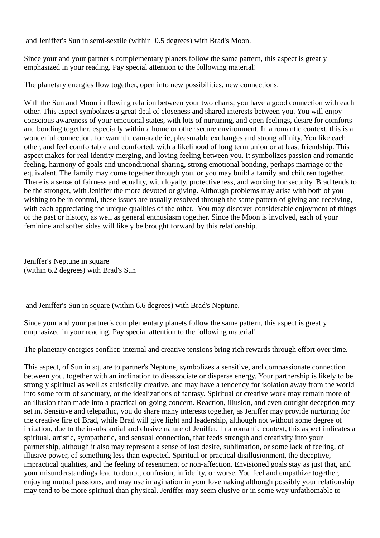and Jeniffer's Sun in semi-sextile (within 0.5 degrees) with Brad's Moon.

Since your and your partner's complementary planets follow the same pattern, this aspect is greatly emphasized in your reading. Pay special attention to the following material!

The planetary energies flow together, open into new possibilities, new connections.

With the Sun and Moon in flowing relation between your two charts, you have a good connection with each other. This aspect symbolizes a great deal of closeness and shared interests between you. You will enjoy conscious awareness of your emotional states, with lots of nurturing, and open feelings, desire for comforts and bonding together, especially within a home or other secure environment. In a romantic context, this is a wonderful connection, for warmth, camaraderie, pleasurable exchanges and strong affinity. You like each other, and feel comfortable and comforted, with a likelihood of long term union or at least friendship. This aspect makes for real identity merging, and loving feeling between you. It symbolizes passion and romantic feeling, harmony of goals and unconditional sharing, strong emotional bonding, perhaps marriage or the equivalent. The family may come together through you, or you may build a family and children together. There is a sense of fairness and equality, with loyalty, protectiveness, and working for security. Brad tends to be the stronger, with Jeniffer the more devoted or giving. Although problems may arise with both of you wishing to be in control, these issues are usually resolved through the same pattern of giving and receiving, with each appreciating the unique qualities of the other. You may discover considerable enjoyment of things of the past or history, as well as general enthusiasm together. Since the Moon is involved, each of your feminine and softer sides will likely be brought forward by this relationship.

Jeniffer's Neptune in square (within 6.2 degrees) with Brad's Sun

and Jeniffer's Sun in square (within 6.6 degrees) with Brad's Neptune.

Since your and your partner's complementary planets follow the same pattern, this aspect is greatly emphasized in your reading. Pay special attention to the following material!

The planetary energies conflict; internal and creative tensions bring rich rewards through effort over time.

This aspect, of Sun in square to partner's Neptune, symbolizes a sensitive, and compassionate connection between you, together with an inclination to disassociate or disperse energy. Your partnership is likely to be strongly spiritual as well as artistically creative, and may have a tendency for isolation away from the world into some form of sanctuary, or the idealizations of fantasy. Spiritual or creative work may remain more of an illusion than made into a practical on-going concern. Reaction, illusion, and even outright deception may set in. Sensitive and telepathic, you do share many interests together, as Jeniffer may provide nurturing for the creative fire of Brad, while Brad will give light and leadership, although not without some degree of irritation, due to the insubstantial and elusive nature of Jeniffer. In a romantic context, this aspect indicates a spiritual, artistic, sympathetic, and sensual connection, that feeds strength and creativity into your partnership, although it also may represent a sense of lost desire, sublimation, or some lack of feeling, of illusive power, of something less than expected. Spiritual or practical disillusionment, the deceptive, impractical qualities, and the feeling of resentment or non-affection. Envisioned goals stay as just that, and your misunderstandings lead to doubt, confusion, infidelity, or worse. You feel and empathize together, enjoying mutual passions, and may use imagination in your lovemaking although possibly your relationship may tend to be more spiritual than physical. Jeniffer may seem elusive or in some way unfathomable to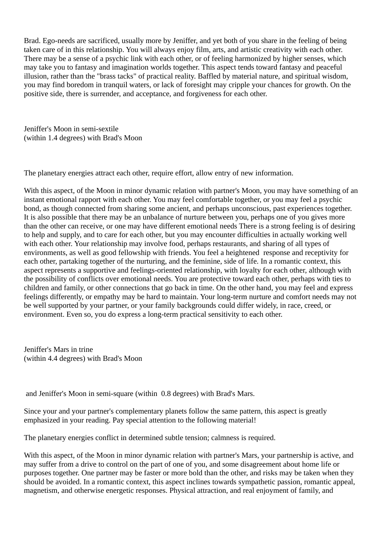Brad. Ego-needs are sacrificed, usually more by Jeniffer, and yet both of you share in the feeling of being taken care of in this relationship. You will always enjoy film, arts, and artistic creativity with each other. There may be a sense of a psychic link with each other, or of feeling harmonized by higher senses, which may take you to fantasy and imagination worlds together. This aspect tends toward fantasy and peaceful illusion, rather than the "brass tacks" of practical reality. Baffled by material nature, and spiritual wisdom, you may find boredom in tranquil waters, or lack of foresight may cripple your chances for growth. On the positive side, there is surrender, and acceptance, and forgiveness for each other.

Jeniffer's Moon in semi-sextile (within 1.4 degrees) with Brad's Moon

The planetary energies attract each other, require effort, allow entry of new information.

With this aspect, of the Moon in minor dynamic relation with partner's Moon, you may have something of an instant emotional rapport with each other. You may feel comfortable together, or you may feel a psychic bond, as though connected from sharing some ancient, and perhaps unconscious, past experiences together. It is also possible that there may be an unbalance of nurture between you, perhaps one of you gives more than the other can receive, or one may have different emotional needs There is a strong feeling is of desiring to help and supply, and to care for each other, but you may encounter difficulties in actually working well with each other. Your relationship may involve food, perhaps restaurants, and sharing of all types of environments, as well as good fellowship with friends. You feel a heightened response and receptivity for each other, partaking together of the nurturing, and the feminine, side of life. In a romantic context, this aspect represents a supportive and feelings-oriented relationship, with loyalty for each other, although with the possibility of conflicts over emotional needs. You are protective toward each other, perhaps with ties to children and family, or other connections that go back in time. On the other hand, you may feel and express feelings differently, or empathy may be hard to maintain. Your long-term nurture and comfort needs may not be well supported by your partner, or your family backgrounds could differ widely, in race, creed, or environment. Even so, you do express a long-term practical sensitivity to each other.

Jeniffer's Mars in trine (within 4.4 degrees) with Brad's Moon

and Jeniffer's Moon in semi-square (within 0.8 degrees) with Brad's Mars.

Since your and your partner's complementary planets follow the same pattern, this aspect is greatly emphasized in your reading. Pay special attention to the following material!

The planetary energies conflict in determined subtle tension; calmness is required.

With this aspect, of the Moon in minor dynamic relation with partner's Mars, your partnership is active, and may suffer from a drive to control on the part of one of you, and some disagreement about home life or purposes together. One partner may be faster or more bold than the other, and risks may be taken when they should be avoided. In a romantic context, this aspect inclines towards sympathetic passion, romantic appeal, magnetism, and otherwise energetic responses. Physical attraction, and real enjoyment of family, and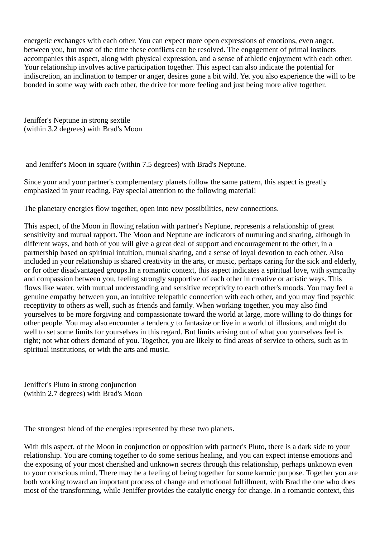energetic exchanges with each other. You can expect more open expressions of emotions, even anger, between you, but most of the time these conflicts can be resolved. The engagement of primal instincts accompanies this aspect, along with physical expression, and a sense of athletic enjoyment with each other. Your relationship involves active participation together. This aspect can also indicate the potential for indiscretion, an inclination to temper or anger, desires gone a bit wild. Yet you also experience the will to be bonded in some way with each other, the drive for more feeling and just being more alive together.

Jeniffer's Neptune in strong sextile (within 3.2 degrees) with Brad's Moon

and Jeniffer's Moon in square (within 7.5 degrees) with Brad's Neptune.

Since your and your partner's complementary planets follow the same pattern, this aspect is greatly emphasized in your reading. Pay special attention to the following material!

The planetary energies flow together, open into new possibilities, new connections.

This aspect, of the Moon in flowing relation with partner's Neptune, represents a relationship of great sensitivity and mutual rapport. The Moon and Neptune are indicators of nurturing and sharing, although in different ways, and both of you will give a great deal of support and encouragement to the other, in a partnership based on spiritual intuition, mutual sharing, and a sense of loyal devotion to each other. Also included in your relationship is shared creativity in the arts, or music, perhaps caring for the sick and elderly, or for other disadvantaged groups.In a romantic context, this aspect indicates a spiritual love, with sympathy and compassion between you, feeling strongly supportive of each other in creative or artistic ways. This flows like water, with mutual understanding and sensitive receptivity to each other's moods. You may feel a genuine empathy between you, an intuitive telepathic connection with each other, and you may find psychic receptivity to others as well, such as friends and family. When working together, you may also find yourselves to be more forgiving and compassionate toward the world at large, more willing to do things for other people. You may also encounter a tendency to fantasize or live in a world of illusions, and might do well to set some limits for yourselves in this regard. But limits arising out of what you yourselves feel is right; not what others demand of you. Together, you are likely to find areas of service to others, such as in spiritual institutions, or with the arts and music.

Jeniffer's Pluto in strong conjunction (within 2.7 degrees) with Brad's Moon

The strongest blend of the energies represented by these two planets.

With this aspect, of the Moon in conjunction or opposition with partner's Pluto, there is a dark side to your relationship. You are coming together to do some serious healing, and you can expect intense emotions and the exposing of your most cherished and unknown secrets through this relationship, perhaps unknown even to your conscious mind. There may be a feeling of being together for some karmic purpose. Together you are both working toward an important process of change and emotional fulfillment, with Brad the one who does most of the transforming, while Jeniffer provides the catalytic energy for change. In a romantic context, this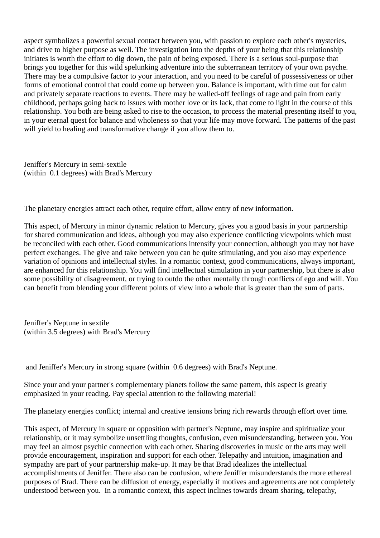aspect symbolizes a powerful sexual contact between you, with passion to explore each other's mysteries, and drive to higher purpose as well. The investigation into the depths of your being that this relationship initiates is worth the effort to dig down, the pain of being exposed. There is a serious soul-purpose that brings you together for this wild spelunking adventure into the subterranean territory of your own psyche. There may be a compulsive factor to your interaction, and you need to be careful of possessiveness or other forms of emotional control that could come up between you. Balance is important, with time out for calm and privately separate reactions to events. There may be walled-off feelings of rage and pain from early childhood, perhaps going back to issues with mother love or its lack, that come to light in the course of this relationship. You both are being asked to rise to the occasion, to process the material presenting itself to you, in your eternal quest for balance and wholeness so that your life may move forward. The patterns of the past will yield to healing and transformative change if you allow them to.

Jeniffer's Mercury in semi-sextile (within 0.1 degrees) with Brad's Mercury

The planetary energies attract each other, require effort, allow entry of new information.

This aspect, of Mercury in minor dynamic relation to Mercury, gives you a good basis in your partnership for shared communication and ideas, although you may also experience conflicting viewpoints which must be reconciled with each other. Good communications intensify your connection, although you may not have perfect exchanges. The give and take between you can be quite stimulating, and you also may experience variation of opinions and intellectual styles. In a romantic context, good communications, always important, are enhanced for this relationship. You will find intellectual stimulation in your partnership, but there is also some possibility of disagreement, or trying to outdo the other mentally through conflicts of ego and will. You can benefit from blending your different points of view into a whole that is greater than the sum of parts.

Jeniffer's Neptune in sextile (within 3.5 degrees) with Brad's Mercury

and Jeniffer's Mercury in strong square (within 0.6 degrees) with Brad's Neptune.

Since your and your partner's complementary planets follow the same pattern, this aspect is greatly emphasized in your reading. Pay special attention to the following material!

The planetary energies conflict; internal and creative tensions bring rich rewards through effort over time.

This aspect, of Mercury in square or opposition with partner's Neptune, may inspire and spiritualize your relationship, or it may symbolize unsettling thoughts, confusion, even misunderstanding, between you. You may feel an almost psychic connection with each other. Sharing discoveries in music or the arts may well provide encouragement, inspiration and support for each other. Telepathy and intuition, imagination and sympathy are part of your partnership make-up. It may be that Brad idealizes the intellectual accomplishments of Jeniffer. There also can be confusion, where Jeniffer misunderstands the more ethereal purposes of Brad. There can be diffusion of energy, especially if motives and agreements are not completely understood between you. In a romantic context, this aspect inclines towards dream sharing, telepathy,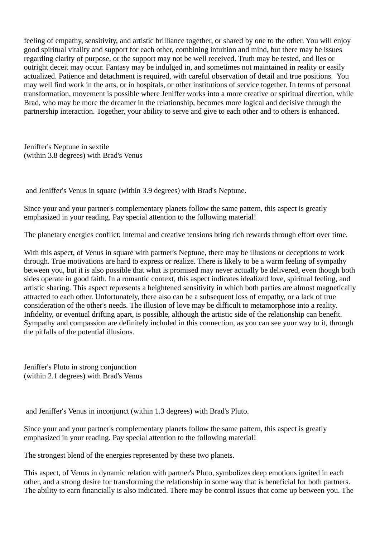feeling of empathy, sensitivity, and artistic brilliance together, or shared by one to the other. You will enjoy good spiritual vitality and support for each other, combining intuition and mind, but there may be issues regarding clarity of purpose, or the support may not be well received. Truth may be tested, and lies or outright deceit may occur. Fantasy may be indulged in, and sometimes not maintained in reality or easily actualized. Patience and detachment is required, with careful observation of detail and true positions. You may well find work in the arts, or in hospitals, or other institutions of service together. In terms of personal transformation, movement is possible where Jeniffer works into a more creative or spiritual direction, while Brad, who may be more the dreamer in the relationship, becomes more logical and decisive through the partnership interaction. Together, your ability to serve and give to each other and to others is enhanced.

Jeniffer's Neptune in sextile (within 3.8 degrees) with Brad's Venus

and Jeniffer's Venus in square (within 3.9 degrees) with Brad's Neptune.

Since your and your partner's complementary planets follow the same pattern, this aspect is greatly emphasized in your reading. Pay special attention to the following material!

The planetary energies conflict; internal and creative tensions bring rich rewards through effort over time.

With this aspect, of Venus in square with partner's Neptune, there may be illusions or deceptions to work through. True motivations are hard to express or realize. There is likely to be a warm feeling of sympathy between you, but it is also possible that what is promised may never actually be delivered, even though both sides operate in good faith. In a romantic context, this aspect indicates idealized love, spiritual feeling, and artistic sharing. This aspect represents a heightened sensitivity in which both parties are almost magnetically attracted to each other. Unfortunately, there also can be a subsequent loss of empathy, or a lack of true consideration of the other's needs. The illusion of love may be difficult to metamorphose into a reality. Infidelity, or eventual drifting apart, is possible, although the artistic side of the relationship can benefit. Sympathy and compassion are definitely included in this connection, as you can see your way to it, through the pitfalls of the potential illusions.

Jeniffer's Pluto in strong conjunction (within 2.1 degrees) with Brad's Venus

and Jeniffer's Venus in inconjunct (within 1.3 degrees) with Brad's Pluto.

Since your and your partner's complementary planets follow the same pattern, this aspect is greatly emphasized in your reading. Pay special attention to the following material!

The strongest blend of the energies represented by these two planets.

This aspect, of Venus in dynamic relation with partner's Pluto, symbolizes deep emotions ignited in each other, and a strong desire for transforming the relationship in some way that is beneficial for both partners. The ability to earn financially is also indicated. There may be control issues that come up between you. The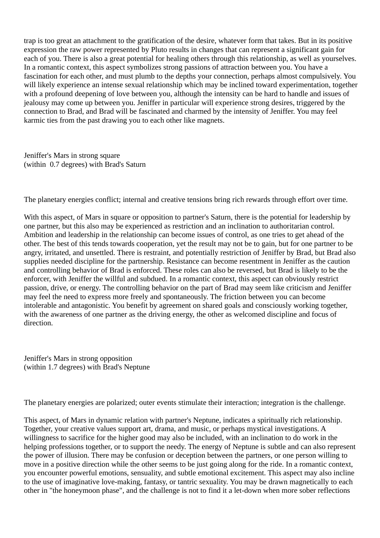trap is too great an attachment to the gratification of the desire, whatever form that takes. But in its positive expression the raw power represented by Pluto results in changes that can represent a significant gain for each of you. There is also a great potential for healing others through this relationship, as well as yourselves. In a romantic context, this aspect symbolizes strong passions of attraction between you. You have a fascination for each other, and must plumb to the depths your connection, perhaps almost compulsively. You will likely experience an intense sexual relationship which may be inclined toward experimentation, together with a profound deepening of love between you, although the intensity can be hard to handle and issues of jealousy may come up between you. Jeniffer in particular will experience strong desires, triggered by the connection to Brad, and Brad will be fascinated and charmed by the intensity of Jeniffer. You may feel karmic ties from the past drawing you to each other like magnets.

Jeniffer's Mars in strong square (within 0.7 degrees) with Brad's Saturn

The planetary energies conflict; internal and creative tensions bring rich rewards through effort over time.

With this aspect, of Mars in square or opposition to partner's Saturn, there is the potential for leadership by one partner, but this also may be experienced as restriction and an inclination to authoritarian control. Ambition and leadership in the relationship can become issues of control, as one tries to get ahead of the other. The best of this tends towards cooperation, yet the result may not be to gain, but for one partner to be angry, irritated, and unsettled. There is restraint, and potentially restriction of Jeniffer by Brad, but Brad also supplies needed discipline for the partnership. Resistance can become resentment in Jeniffer as the caution and controlling behavior of Brad is enforced. These roles can also be reversed, but Brad is likely to be the enforcer, with Jeniffer the willful and subdued. In a romantic context, this aspect can obviously restrict passion, drive, or energy. The controlling behavior on the part of Brad may seem like criticism and Jeniffer may feel the need to express more freely and spontaneously. The friction between you can become intolerable and antagonistic. You benefit by agreement on shared goals and consciously working together, with the awareness of one partner as the driving energy, the other as welcomed discipline and focus of direction.

Jeniffer's Mars in strong opposition (within 1.7 degrees) with Brad's Neptune

The planetary energies are polarized; outer events stimulate their interaction; integration is the challenge.

This aspect, of Mars in dynamic relation with partner's Neptune, indicates a spiritually rich relationship. Together, your creative values support art, drama, and music, or perhaps mystical investigations. A willingness to sacrifice for the higher good may also be included, with an inclination to do work in the helping professions together, or to support the needy. The energy of Neptune is subtle and can also represent the power of illusion. There may be confusion or deception between the partners, or one person willing to move in a positive direction while the other seems to be just going along for the ride. In a romantic context, you encounter powerful emotions, sensuality, and subtle emotional excitement. This aspect may also incline to the use of imaginative love-making, fantasy, or tantric sexuality. You may be drawn magnetically to each other in "the honeymoon phase", and the challenge is not to find it a let-down when more sober reflections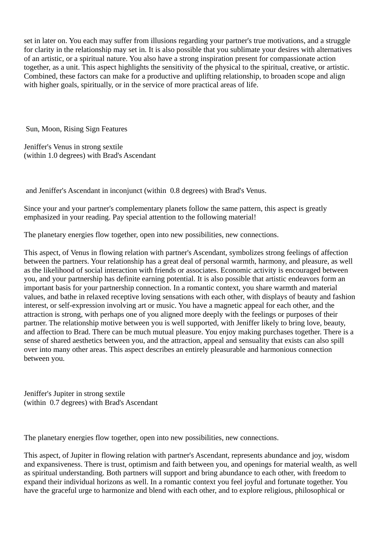set in later on. You each may suffer from illusions regarding your partner's true motivations, and a struggle for clarity in the relationship may set in. It is also possible that you sublimate your desires with alternatives of an artistic, or a spiritual nature. You also have a strong inspiration present for compassionate action together, as a unit. This aspect highlights the sensitivity of the physical to the spiritual, creative, or artistic. Combined, these factors can make for a productive and uplifting relationship, to broaden scope and align with higher goals, spiritually, or in the service of more practical areas of life.

Sun, Moon, Rising Sign Features

Jeniffer's Venus in strong sextile (within 1.0 degrees) with Brad's Ascendant

and Jeniffer's Ascendant in inconjunct (within 0.8 degrees) with Brad's Venus.

Since your and your partner's complementary planets follow the same pattern, this aspect is greatly emphasized in your reading. Pay special attention to the following material!

The planetary energies flow together, open into new possibilities, new connections.

This aspect, of Venus in flowing relation with partner's Ascendant, symbolizes strong feelings of affection between the partners. Your relationship has a great deal of personal warmth, harmony, and pleasure, as well as the likelihood of social interaction with friends or associates. Economic activity is encouraged between you, and your partnership has definite earning potential. It is also possible that artistic endeavors form an important basis for your partnership connection. In a romantic context, you share warmth and material values, and bathe in relaxed receptive loving sensations with each other, with displays of beauty and fashion interest, or self-expression involving art or music. You have a magnetic appeal for each other, and the attraction is strong, with perhaps one of you aligned more deeply with the feelings or purposes of their partner. The relationship motive between you is well supported, with Jeniffer likely to bring love, beauty, and affection to Brad. There can be much mutual pleasure. You enjoy making purchases together. There is a sense of shared aesthetics between you, and the attraction, appeal and sensuality that exists can also spill over into many other areas. This aspect describes an entirely pleasurable and harmonious connection between you.

Jeniffer's Jupiter in strong sextile (within 0.7 degrees) with Brad's Ascendant

The planetary energies flow together, open into new possibilities, new connections.

This aspect, of Jupiter in flowing relation with partner's Ascendant, represents abundance and joy, wisdom and expansiveness. There is trust, optimism and faith between you, and openings for material wealth, as well as spiritual understanding. Both partners will support and bring abundance to each other, with freedom to expand their individual horizons as well. In a romantic context you feel joyful and fortunate together. You have the graceful urge to harmonize and blend with each other, and to explore religious, philosophical or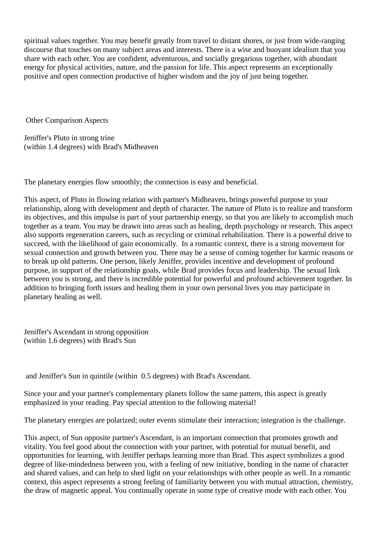spiritual values together. You may benefit greatly from travel to distant shores, or just from wide-ranging discourse that touches on many subject areas and interests. There is a wise and buoyant idealism that you share with each other. You are confident, adventurous, and socially gregarious together, with abundant energy for physical activities, nature, and the passion for life. This aspect represents an exceptionally positive and open connection productive of higher wisdom and the joy of just being together.

Other Comparison Aspects

Jeniffer's Pluto in strong trine (within 1.4 degrees) with Brad's Midheaven

The planetary energies flow smoothly; the connection is easy and beneficial.

This aspect, of Pluto in flowing relation with partner's Midheaven, brings powerful purpose to your relationship, along with development and depth of character. The nature of Pluto is to realize and transform its objectives, and this impulse is part of your partnership energy, so that you are likely to accomplish much together as a team. You may be drawn into areas such as healing, depth psychology or research. This aspect also supports regeneration careers, such as recycling or criminal rehabilitation. There is a powerful drive to succeed, with the likelihood of gain economically. In a romantic context, there is a strong movement for sexual connection and growth between you. There may be a sense of coming together for karmic reasons or to break up old patterns. One person, likely Jeniffer, provides incentive and development of profound purpose, in support of the relationship goals, while Brad provides focus and leadership. The sexual link between you is strong, and there is incredible potential for powerful and profound achievement together. In addition to bringing forth issues and healing them in your own personal lives you may participate in planetary healing as well.

Jeniffer's Ascendant in strong opposition (within 1.6 degrees) with Brad's Sun

and Jeniffer's Sun in quintile (within 0.5 degrees) with Brad's Ascendant.

Since your and your partner's complementary planets follow the same pattern, this aspect is greatly emphasized in your reading. Pay special attention to the following material!

The planetary energies are polarized; outer events stimulate their interaction; integration is the challenge.

This aspect, of Sun opposite partner's Ascendant, is an important connection that promotes growth and vitality. You feel good about the connection with your partner, with potential for mutual benefit, and opportunities for learning, with Jeniffer perhaps learning more than Brad. This aspect symbolizes a good degree of like-mindedness between you, with a feeling of new initiative, bonding in the name of character and shared values, and can help to shed light on your relationships with other people as well. In a romantic context, this aspect represents a strong feeling of familiarity between you with mutual attraction, chemistry, the draw of magnetic appeal. You continually operate in some type of creative mode with each other. You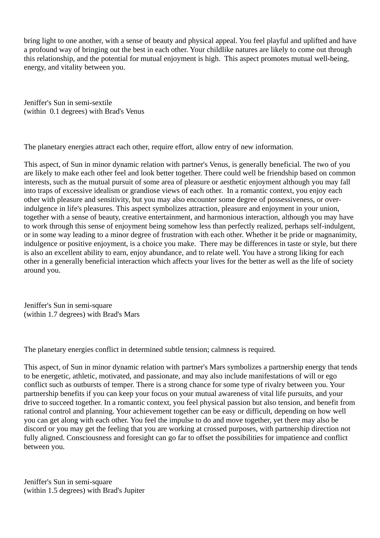bring light to one another, with a sense of beauty and physical appeal. You feel playful and uplifted and have a profound way of bringing out the best in each other. Your childlike natures are likely to come out through this relationship, and the potential for mutual enjoyment is high. This aspect promotes mutual well-being, energy, and vitality between you.

Jeniffer's Sun in semi-sextile (within 0.1 degrees) with Brad's Venus

The planetary energies attract each other, require effort, allow entry of new information.

This aspect, of Sun in minor dynamic relation with partner's Venus, is generally beneficial. The two of you are likely to make each other feel and look better together. There could well be friendship based on common interests, such as the mutual pursuit of some area of pleasure or aesthetic enjoyment although you may fall into traps of excessive idealism or grandiose views of each other. In a romantic context, you enjoy each other with pleasure and sensitivity, but you may also encounter some degree of possessiveness, or overindulgence in life's pleasures. This aspect symbolizes attraction, pleasure and enjoyment in your union, together with a sense of beauty, creative entertainment, and harmonious interaction, although you may have to work through this sense of enjoyment being somehow less than perfectly realized, perhaps self-indulgent, or in some way leading to a minor degree of frustration with each other. Whether it be pride or magnanimity, indulgence or positive enjoyment, is a choice you make. There may be differences in taste or style, but there is also an excellent ability to earn, enjoy abundance, and to relate well. You have a strong liking for each other in a generally beneficial interaction which affects your lives for the better as well as the life of society around you.

Jeniffer's Sun in semi-square (within 1.7 degrees) with Brad's Mars

The planetary energies conflict in determined subtle tension; calmness is required.

This aspect, of Sun in minor dynamic relation with partner's Mars symbolizes a partnership energy that tends to be energetic, athletic, motivated, and passionate, and may also include manifestations of will or ego conflict such as outbursts of temper. There is a strong chance for some type of rivalry between you. Your partnership benefits if you can keep your focus on your mutual awareness of vital life pursuits, and your drive to succeed together. In a romantic context, you feel physical passion but also tension, and benefit from rational control and planning. Your achievement together can be easy or difficult, depending on how well you can get along with each other. You feel the impulse to do and move together, yet there may also be discord or you may get the feeling that you are working at crossed purposes, with partnership direction not fully aligned. Consciousness and foresight can go far to offset the possibilities for impatience and conflict between you.

Jeniffer's Sun in semi-square (within 1.5 degrees) with Brad's Jupiter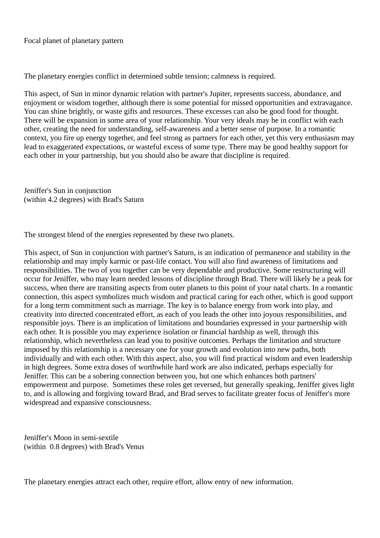Focal planet of planetary pattern

The planetary energies conflict in determined subtle tension; calmness is required.

This aspect, of Sun in minor dynamic relation with partner's Jupiter, represents success, abundance, and enjoyment or wisdom together, although there is some potential for missed opportunities and extravagance. You can shine brightly, or waste gifts and resources. These excesses can also be good food for thought. There will be expansion in some area of your relationship. Your very ideals may be in conflict with each other, creating the need for understanding, self-awareness and a better sense of purpose. In a romantic context, you fire up energy together, and feel strong as partners for each other, yet this very enthusiasm may lead to exaggerated expectations, or wasteful excess of some type. There may be good healthy support for each other in your partnership, but you should also be aware that discipline is required.

Jeniffer's Sun in conjunction (within 4.2 degrees) with Brad's Saturn

The strongest blend of the energies represented by these two planets.

This aspect, of Sun in conjunction with partner's Saturn, is an indication of permanence and stability in the relationship and may imply karmic or past-life contact. You will also find awareness of limitations and responsibilities. The two of you together can be very dependable and productive. Some restructuring will occur for Jeniffer, who may learn needed lessons of discipline through Brad. There will likely be a peak for success, when there are transiting aspects from outer planets to this point of your natal charts. In a romantic connection, this aspect symbolizes much wisdom and practical caring for each other, which is good support for a long term commitment such as marriage. The key is to balance energy from work into play, and creativity into directed concentrated effort, as each of you leads the other into joyous responsibilities, and responsible joys. There is an implication of limitations and boundaries expressed in your partnership with each other. It is possible you may experience isolation or financial hardship as well, through this relationship, which nevertheless can lead you to positive outcomes. Perhaps the limitation and structure imposed by this relationship is a necessary one for your growth and evolution into new paths, both individually and with each other. With this aspect, also, you will find practical wisdom and even leadership in high degrees. Some extra doses of worthwhile hard work are also indicated, perhaps especially for Jeniffer. This can be a sobering connection between you, but one which enhances both partners' empowerment and purpose. Sometimes these roles get reversed, but generally speaking, Jeniffer gives light to, and is allowing and forgiving toward Brad, and Brad serves to facilitate greater focus of Jeniffer's more widespread and expansive consciousness.

Jeniffer's Moon in semi-sextile (within 0.8 degrees) with Brad's Venus

The planetary energies attract each other, require effort, allow entry of new information.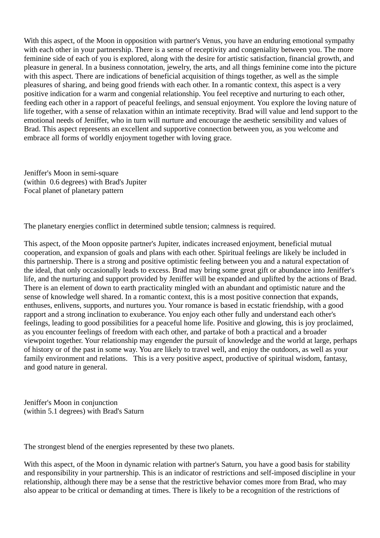With this aspect, of the Moon in opposition with partner's Venus, you have an enduring emotional sympathy with each other in your partnership. There is a sense of receptivity and congeniality between you. The more feminine side of each of you is explored, along with the desire for artistic satisfaction, financial growth, and pleasure in general. In a business connotation, jewelry, the arts, and all things feminine come into the picture with this aspect. There are indications of beneficial acquisition of things together, as well as the simple pleasures of sharing, and being good friends with each other. In a romantic context, this aspect is a very positive indication for a warm and congenial relationship. You feel receptive and nurturing to each other, feeding each other in a rapport of peaceful feelings, and sensual enjoyment. You explore the loving nature of life together, with a sense of relaxation within an intimate receptivity. Brad will value and lend support to the emotional needs of Jeniffer, who in turn will nurture and encourage the aesthetic sensibility and values of Brad. This aspect represents an excellent and supportive connection between you, as you welcome and embrace all forms of worldly enjoyment together with loving grace.

Jeniffer's Moon in semi-square (within 0.6 degrees) with Brad's Jupiter Focal planet of planetary pattern

The planetary energies conflict in determined subtle tension; calmness is required.

This aspect, of the Moon opposite partner's Jupiter, indicates increased enjoyment, beneficial mutual cooperation, and expansion of goals and plans with each other. Spiritual feelings are likely be included in this partnership. There is a strong and positive optimistic feeling between you and a natural expectation of the ideal, that only occasionally leads to excess. Brad may bring some great gift or abundance into Jeniffer's life, and the nurturing and support provided by Jeniffer will be expanded and uplifted by the actions of Brad. There is an element of down to earth practicality mingled with an abundant and optimistic nature and the sense of knowledge well shared. In a romantic context, this is a most positive connection that expands, enthuses, enlivens, supports, and nurtures you. Your romance is based in ecstatic friendship, with a good rapport and a strong inclination to exuberance. You enjoy each other fully and understand each other's feelings, leading to good possibilities for a peaceful home life. Positive and glowing, this is joy proclaimed, as you encounter feelings of freedom with each other, and partake of both a practical and a broader viewpoint together. Your relationship may engender the pursuit of knowledge and the world at large, perhaps of history or of the past in some way. You are likely to travel well, and enjoy the outdoors, as well as your family environment and relations. This is a very positive aspect, productive of spiritual wisdom, fantasy, and good nature in general.

Jeniffer's Moon in conjunction (within 5.1 degrees) with Brad's Saturn

The strongest blend of the energies represented by these two planets.

With this aspect, of the Moon in dynamic relation with partner's Saturn, you have a good basis for stability and responsibility in your partnership. This is an indicator of restrictions and self-imposed discipline in your relationship, although there may be a sense that the restrictive behavior comes more from Brad, who may also appear to be critical or demanding at times. There is likely to be a recognition of the restrictions of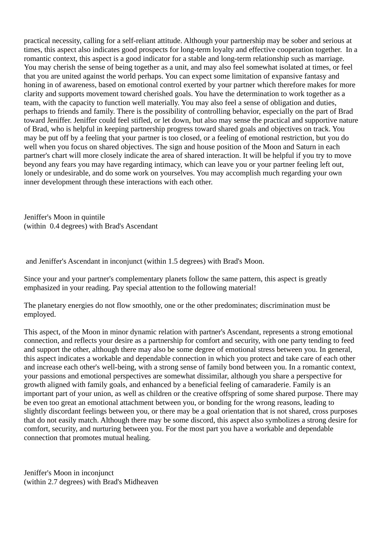practical necessity, calling for a self-reliant attitude. Although your partnership may be sober and serious at times, this aspect also indicates good prospects for long-term loyalty and effective cooperation together. In a romantic context, this aspect is a good indicator for a stable and long-term relationship such as marriage. You may cherish the sense of being together as a unit, and may also feel somewhat isolated at times, or feel that you are united against the world perhaps. You can expect some limitation of expansive fantasy and honing in of awareness, based on emotional control exerted by your partner which therefore makes for more clarity and supports movement toward cherished goals. You have the determination to work together as a team, with the capacity to function well materially. You may also feel a sense of obligation and duties, perhaps to friends and family. There is the possibility of controlling behavior, especially on the part of Brad toward Jeniffer. Jeniffer could feel stifled, or let down, but also may sense the practical and supportive nature of Brad, who is helpful in keeping partnership progress toward shared goals and objectives on track. You may be put off by a feeling that your partner is too closed, or a feeling of emotional restriction, but you do well when you focus on shared objectives. The sign and house position of the Moon and Saturn in each partner's chart will more closely indicate the area of shared interaction. It will be helpful if you try to move beyond any fears you may have regarding intimacy, which can leave you or your partner feeling left out, lonely or undesirable, and do some work on yourselves. You may accomplish much regarding your own inner development through these interactions with each other.

Jeniffer's Moon in quintile (within 0.4 degrees) with Brad's Ascendant

and Jeniffer's Ascendant in inconjunct (within 1.5 degrees) with Brad's Moon.

Since your and your partner's complementary planets follow the same pattern, this aspect is greatly emphasized in your reading. Pay special attention to the following material!

The planetary energies do not flow smoothly, one or the other predominates; discrimination must be employed.

This aspect, of the Moon in minor dynamic relation with partner's Ascendant, represents a strong emotional connection, and reflects your desire as a partnership for comfort and security, with one party tending to feed and support the other, although there may also be some degree of emotional stress between you. In general, this aspect indicates a workable and dependable connection in which you protect and take care of each other and increase each other's well-being, with a strong sense of family bond between you. In a romantic context, your passions and emotional perspectives are somewhat dissimilar, although you share a perspective for growth aligned with family goals, and enhanced by a beneficial feeling of camaraderie. Family is an important part of your union, as well as children or the creative offspring of some shared purpose. There may be even too great an emotional attachment between you, or bonding for the wrong reasons, leading to slightly discordant feelings between you, or there may be a goal orientation that is not shared, cross purposes that do not easily match. Although there may be some discord, this aspect also symbolizes a strong desire for comfort, security, and nurturing between you. For the most part you have a workable and dependable connection that promotes mutual healing.

Jeniffer's Moon in inconjunct (within 2.7 degrees) with Brad's Midheaven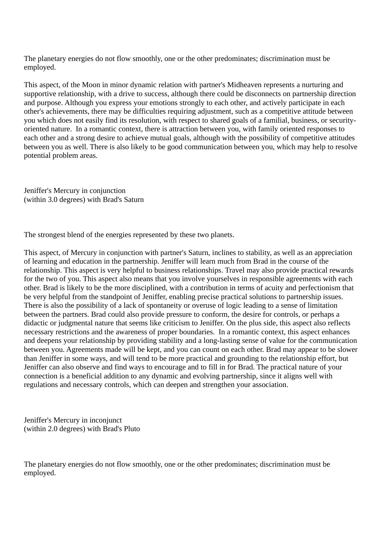The planetary energies do not flow smoothly, one or the other predominates; discrimination must be employed.

This aspect, of the Moon in minor dynamic relation with partner's Midheaven represents a nurturing and supportive relationship, with a drive to success, although there could be disconnects on partnership direction and purpose. Although you express your emotions strongly to each other, and actively participate in each other's achievements, there may be difficulties requiring adjustment, such as a competitive attitude between you which does not easily find its resolution, with respect to shared goals of a familial, business, or securityoriented nature. In a romantic context, there is attraction between you, with family oriented responses to each other and a strong desire to achieve mutual goals, although with the possibility of competitive attitudes between you as well. There is also likely to be good communication between you, which may help to resolve potential problem areas.

Jeniffer's Mercury in conjunction (within 3.0 degrees) with Brad's Saturn

The strongest blend of the energies represented by these two planets.

This aspect, of Mercury in conjunction with partner's Saturn, inclines to stability, as well as an appreciation of learning and education in the partnership. Jeniffer will learn much from Brad in the course of the relationship. This aspect is very helpful to business relationships. Travel may also provide practical rewards for the two of you. This aspect also means that you involve yourselves in responsible agreements with each other. Brad is likely to be the more disciplined, with a contribution in terms of acuity and perfectionism that be very helpful from the standpoint of Jeniffer, enabling precise practical solutions to partnership issues. There is also the possibility of a lack of spontaneity or overuse of logic leading to a sense of limitation between the partners. Brad could also provide pressure to conform, the desire for controls, or perhaps a didactic or judgmental nature that seems like criticism to Jeniffer. On the plus side, this aspect also reflects necessary restrictions and the awareness of proper boundaries. In a romantic context, this aspect enhances and deepens your relationship by providing stability and a long-lasting sense of value for the communication between you. Agreements made will be kept, and you can count on each other. Brad may appear to be slower than Jeniffer in some ways, and will tend to be more practical and grounding to the relationship effort, but Jeniffer can also observe and find ways to encourage and to fill in for Brad. The practical nature of your connection is a beneficial addition to any dynamic and evolving partnership, since it aligns well with regulations and necessary controls, which can deepen and strengthen your association.

Jeniffer's Mercury in inconjunct (within 2.0 degrees) with Brad's Pluto

The planetary energies do not flow smoothly, one or the other predominates; discrimination must be employed.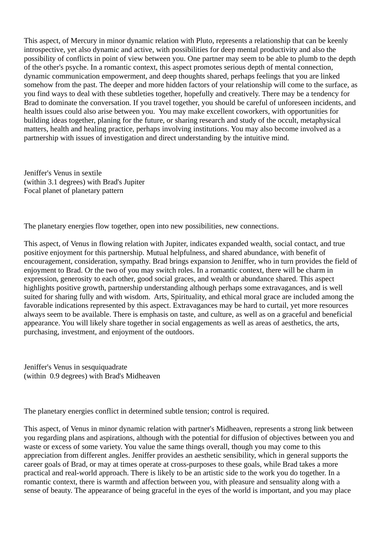This aspect, of Mercury in minor dynamic relation with Pluto, represents a relationship that can be keenly introspective, yet also dynamic and active, with possibilities for deep mental productivity and also the possibility of conflicts in point of view between you. One partner may seem to be able to plumb to the depth of the other's psyche. In a romantic context, this aspect promotes serious depth of mental connection, dynamic communication empowerment, and deep thoughts shared, perhaps feelings that you are linked somehow from the past. The deeper and more hidden factors of your relationship will come to the surface, as you find ways to deal with these subtleties together, hopefully and creatively. There may be a tendency for Brad to dominate the conversation. If you travel together, you should be careful of unforeseen incidents, and health issues could also arise between you. You may make excellent coworkers, with opportunities for building ideas together, planing for the future, or sharing research and study of the occult, metaphysical matters, health and healing practice, perhaps involving institutions. You may also become involved as a partnership with issues of investigation and direct understanding by the intuitive mind.

Jeniffer's Venus in sextile (within 3.1 degrees) with Brad's Jupiter Focal planet of planetary pattern

The planetary energies flow together, open into new possibilities, new connections.

This aspect, of Venus in flowing relation with Jupiter, indicates expanded wealth, social contact, and true positive enjoyment for this partnership. Mutual helpfulness, and shared abundance, with benefit of encouragement, consideration, sympathy. Brad brings expansion to Jeniffer, who in turn provides the field of enjoyment to Brad. Or the two of you may switch roles. In a romantic context, there will be charm in expression, generosity to each other, good social graces, and wealth or abundance shared. This aspect highlights positive growth, partnership understanding although perhaps some extravagances, and is well suited for sharing fully and with wisdom. Arts, Spirituality, and ethical moral grace are included among the favorable indications represented by this aspect. Extravagances may be hard to curtail, yet more resources always seem to be available. There is emphasis on taste, and culture, as well as on a graceful and beneficial appearance. You will likely share together in social engagements as well as areas of aesthetics, the arts, purchasing, investment, and enjoyment of the outdoors.

Jeniffer's Venus in sesquiquadrate (within 0.9 degrees) with Brad's Midheaven

The planetary energies conflict in determined subtle tension; control is required.

This aspect, of Venus in minor dynamic relation with partner's Midheaven, represents a strong link between you regarding plans and aspirations, although with the potential for diffusion of objectives between you and waste or excess of some variety. You value the same things overall, though you may come to this appreciation from different angles. Jeniffer provides an aesthetic sensibility, which in general supports the career goals of Brad, or may at times operate at cross-purposes to these goals, while Brad takes a more practical and real-world approach. There is likely to be an artistic side to the work you do together. In a romantic context, there is warmth and affection between you, with pleasure and sensuality along with a sense of beauty. The appearance of being graceful in the eyes of the world is important, and you may place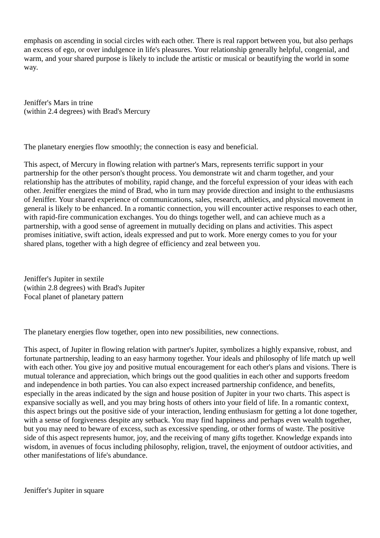emphasis on ascending in social circles with each other. There is real rapport between you, but also perhaps an excess of ego, or over indulgence in life's pleasures. Your relationship generally helpful, congenial, and warm, and your shared purpose is likely to include the artistic or musical or beautifying the world in some way.

Jeniffer's Mars in trine (within 2.4 degrees) with Brad's Mercury

The planetary energies flow smoothly; the connection is easy and beneficial.

This aspect, of Mercury in flowing relation with partner's Mars, represents terrific support in your partnership for the other person's thought process. You demonstrate wit and charm together, and your relationship has the attributes of mobility, rapid change, and the forceful expression of your ideas with each other. Jeniffer energizes the mind of Brad, who in turn may provide direction and insight to the enthusiasms of Jeniffer. Your shared experience of communications, sales, research, athletics, and physical movement in general is likely to be enhanced. In a romantic connection, you will encounter active responses to each other, with rapid-fire communication exchanges. You do things together well, and can achieve much as a partnership, with a good sense of agreement in mutually deciding on plans and activities. This aspect promises initiative, swift action, ideals expressed and put to work. More energy comes to you for your shared plans, together with a high degree of efficiency and zeal between you.

Jeniffer's Jupiter in sextile (within 2.8 degrees) with Brad's Jupiter Focal planet of planetary pattern

The planetary energies flow together, open into new possibilities, new connections.

This aspect, of Jupiter in flowing relation with partner's Jupiter, symbolizes a highly expansive, robust, and fortunate partnership, leading to an easy harmony together. Your ideals and philosophy of life match up well with each other. You give joy and positive mutual encouragement for each other's plans and visions. There is mutual tolerance and appreciation, which brings out the good qualities in each other and supports freedom and independence in both parties. You can also expect increased partnership confidence, and benefits, especially in the areas indicated by the sign and house position of Jupiter in your two charts. This aspect is expansive socially as well, and you may bring hosts of others into your field of life. In a romantic context, this aspect brings out the positive side of your interaction, lending enthusiasm for getting a lot done together, with a sense of forgiveness despite any setback. You may find happiness and perhaps even wealth together, but you may need to beware of excess, such as excessive spending, or other forms of waste. The positive side of this aspect represents humor, joy, and the receiving of many gifts together. Knowledge expands into wisdom, in avenues of focus including philosophy, religion, travel, the enjoyment of outdoor activities, and other manifestations of life's abundance.

Jeniffer's Jupiter in square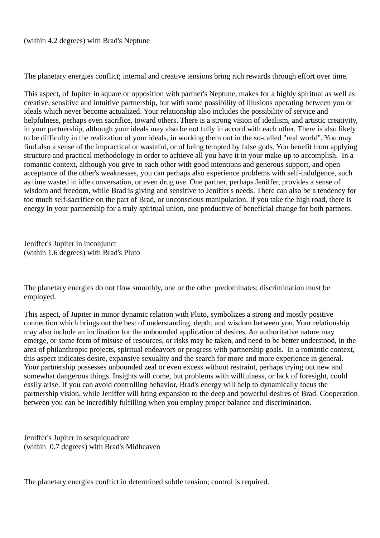The planetary energies conflict; internal and creative tensions bring rich rewards through effort over time.

This aspect, of Jupiter in square or opposition with partner's Neptune, makes for a highly spiritual as well as creative, sensitive and intuitive partnership, but with some possibility of illusions operating between you or ideals which never become actualized. Your relationship also includes the possibility of service and helpfulness, perhaps even sacrifice, toward others. There is a strong vision of idealism, and artistic creativity, in your partnership, although your ideals may also be not fully in accord with each other. There is also likely to be difficulty in the realization of your ideals, in working them out in the so-called "real world". You may find also a sense of the impractical or wasteful, or of being tempted by false gods. You benefit from applying structure and practical methodology in order to achieve all you have it in your make-up to accomplish. In a romantic context, although you give to each other with good intentions and generous support, and open acceptance of the other's weaknesses, you can perhaps also experience problems with self-indulgence, such as time wasted in idle conversation, or even drug use. One partner, perhaps Jeniffer, provides a sense of wisdom and freedom, while Brad is giving and sensitive to Jeniffer's needs. There can also be a tendency for too much self-sacrifice on the part of Brad, or unconscious manipulation. If you take the high road, there is energy in your partnership for a truly spiritual union, one productive of beneficial change for both partners.

Jeniffer's Jupiter in inconjunct (within 1.6 degrees) with Brad's Pluto

The planetary energies do not flow smoothly, one or the other predominates; discrimination must be employed.

This aspect, of Jupiter in minor dynamic relation with Pluto, symbolizes a strong and mostly positive connection which brings out the best of understanding, depth, and wisdom between you. Your relationship may also include an inclination for the unbounded application of desires. An authoritative nature may emerge, or some form of misuse of resources, or risks may be taken, and need to be better understood, in the area of philanthropic projects, spiritual endeavors or progress with partnership goals. In a romantic context, this aspect indicates desire, expansive sexuality and the search for more and more experience in general. Your partnership possesses unbounded zeal or even excess without restraint, perhaps trying out new and somewhat dangerous things. Insights will come, but problems with willfulness, or lack of foresight, could easily arise. If you can avoid controlling behavior, Brad's energy will help to dynamically focus the partnership vision, while Jeniffer will bring expansion to the deep and powerful desires of Brad. Cooperation between you can be incredibly fulfilling when you employ proper balance and discrimination.

Jeniffer's Jupiter in sesquiquadrate (within 0.7 degrees) with Brad's Midheaven

The planetary energies conflict in determined subtle tension; control is required.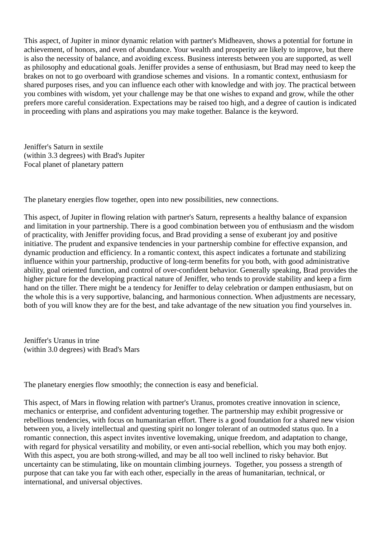This aspect, of Jupiter in minor dynamic relation with partner's Midheaven, shows a potential for fortune in achievement, of honors, and even of abundance. Your wealth and prosperity are likely to improve, but there is also the necessity of balance, and avoiding excess. Business interests between you are supported, as well as philosophy and educational goals. Jeniffer provides a sense of enthusiasm, but Brad may need to keep the brakes on not to go overboard with grandiose schemes and visions. In a romantic context, enthusiasm for shared purposes rises, and you can influence each other with knowledge and with joy. The practical between you combines with wisdom, yet your challenge may be that one wishes to expand and grow, while the other prefers more careful consideration. Expectations may be raised too high, and a degree of caution is indicated in proceeding with plans and aspirations you may make together. Balance is the keyword.

Jeniffer's Saturn in sextile (within 3.3 degrees) with Brad's Jupiter Focal planet of planetary pattern

The planetary energies flow together, open into new possibilities, new connections.

This aspect, of Jupiter in flowing relation with partner's Saturn, represents a healthy balance of expansion and limitation in your partnership. There is a good combination between you of enthusiasm and the wisdom of practicality, with Jeniffer providing focus, and Brad providing a sense of exuberant joy and positive initiative. The prudent and expansive tendencies in your partnership combine for effective expansion, and dynamic production and efficiency. In a romantic context, this aspect indicates a fortunate and stabilizing influence within your partnership, productive of long-term benefits for you both, with good administrative ability, goal oriented function, and control of over-confident behavior. Generally speaking, Brad provides the higher picture for the developing practical nature of Jeniffer, who tends to provide stability and keep a firm hand on the tiller. There might be a tendency for Jeniffer to delay celebration or dampen enthusiasm, but on the whole this is a very supportive, balancing, and harmonious connection. When adjustments are necessary, both of you will know they are for the best, and take advantage of the new situation you find yourselves in.

Jeniffer's Uranus in trine (within 3.0 degrees) with Brad's Mars

The planetary energies flow smoothly; the connection is easy and beneficial.

This aspect, of Mars in flowing relation with partner's Uranus, promotes creative innovation in science, mechanics or enterprise, and confident adventuring together. The partnership may exhibit progressive or rebellious tendencies, with focus on humanitarian effort. There is a good foundation for a shared new vision between you, a lively intellectual and questing spirit no longer tolerant of an outmoded status quo. In a romantic connection, this aspect invites inventive lovemaking, unique freedom, and adaptation to change, with regard for physical versatility and mobility, or even anti-social rebellion, which you may both enjoy. With this aspect, you are both strong-willed, and may be all too well inclined to risky behavior. But uncertainty can be stimulating, like on mountain climbing journeys. Together, you possess a strength of purpose that can take you far with each other, especially in the areas of humanitarian, technical, or international, and universal objectives.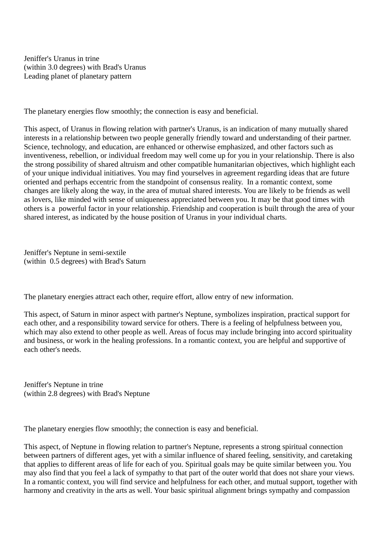Jeniffer's Uranus in trine (within 3.0 degrees) with Brad's Uranus Leading planet of planetary pattern

The planetary energies flow smoothly; the connection is easy and beneficial.

This aspect, of Uranus in flowing relation with partner's Uranus, is an indication of many mutually shared interests in a relationship between two people generally friendly toward and understanding of their partner. Science, technology, and education, are enhanced or otherwise emphasized, and other factors such as inventiveness, rebellion, or individual freedom may well come up for you in your relationship. There is also the strong possibility of shared altruism and other compatible humanitarian objectives, which highlight each of your unique individual initiatives. You may find yourselves in agreement regarding ideas that are future oriented and perhaps eccentric from the standpoint of consensus reality. In a romantic context, some changes are likely along the way, in the area of mutual shared interests. You are likely to be friends as well as lovers, like minded with sense of uniqueness appreciated between you. It may be that good times with others is a powerful factor in your relationship. Friendship and cooperation is built through the area of your shared interest, as indicated by the house position of Uranus in your individual charts.

Jeniffer's Neptune in semi-sextile (within 0.5 degrees) with Brad's Saturn

The planetary energies attract each other, require effort, allow entry of new information.

This aspect, of Saturn in minor aspect with partner's Neptune, symbolizes inspiration, practical support for each other, and a responsibility toward service for others. There is a feeling of helpfulness between you, which may also extend to other people as well. Areas of focus may include bringing into accord spirituality and business, or work in the healing professions. In a romantic context, you are helpful and supportive of each other's needs.

Jeniffer's Neptune in trine (within 2.8 degrees) with Brad's Neptune

The planetary energies flow smoothly; the connection is easy and beneficial.

This aspect, of Neptune in flowing relation to partner's Neptune, represents a strong spiritual connection between partners of different ages, yet with a similar influence of shared feeling, sensitivity, and caretaking that applies to different areas of life for each of you. Spiritual goals may be quite similar between you. You may also find that you feel a lack of sympathy to that part of the outer world that does not share your views. In a romantic context, you will find service and helpfulness for each other, and mutual support, together with harmony and creativity in the arts as well. Your basic spiritual alignment brings sympathy and compassion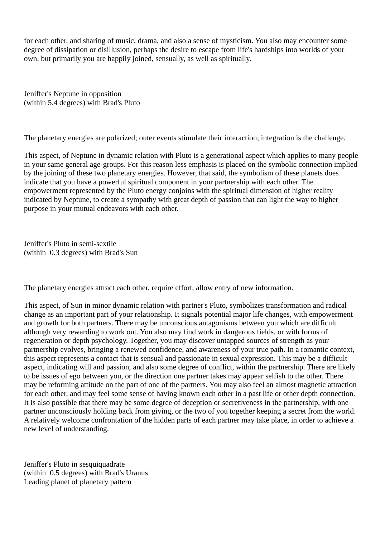for each other, and sharing of music, drama, and also a sense of mysticism. You also may encounter some degree of dissipation or disillusion, perhaps the desire to escape from life's hardships into worlds of your own, but primarily you are happily joined, sensually, as well as spiritually.

Jeniffer's Neptune in opposition (within 5.4 degrees) with Brad's Pluto

The planetary energies are polarized; outer events stimulate their interaction; integration is the challenge.

This aspect, of Neptune in dynamic relation with Pluto is a generational aspect which applies to many people in your same general age-groups. For this reason less emphasis is placed on the symbolic connection implied by the joining of these two planetary energies. However, that said, the symbolism of these planets does indicate that you have a powerful spiritual component in your partnership with each other. The empowerment represented by the Pluto energy conjoins with the spiritual dimension of higher reality indicated by Neptune, to create a sympathy with great depth of passion that can light the way to higher purpose in your mutual endeavors with each other.

Jeniffer's Pluto in semi-sextile (within 0.3 degrees) with Brad's Sun

The planetary energies attract each other, require effort, allow entry of new information.

This aspect, of Sun in minor dynamic relation with partner's Pluto, symbolizes transformation and radical change as an important part of your relationship. It signals potential major life changes, with empowerment and growth for both partners. There may be unconscious antagonisms between you which are difficult although very rewarding to work out. You also may find work in dangerous fields, or with forms of regeneration or depth psychology. Together, you may discover untapped sources of strength as your partnership evolves, bringing a renewed confidence, and awareness of your true path. In a romantic context, this aspect represents a contact that is sensual and passionate in sexual expression. This may be a difficult aspect, indicating will and passion, and also some degree of conflict, within the partnership. There are likely to be issues of ego between you, or the direction one partner takes may appear selfish to the other. There may be reforming attitude on the part of one of the partners. You may also feel an almost magnetic attraction for each other, and may feel some sense of having known each other in a past life or other depth connection. It is also possible that there may be some degree of deception or secretiveness in the partnership, with one partner unconsciously holding back from giving, or the two of you together keeping a secret from the world. A relatively welcome confrontation of the hidden parts of each partner may take place, in order to achieve a new level of understanding.

Jeniffer's Pluto in sesquiquadrate (within 0.5 degrees) with Brad's Uranus Leading planet of planetary pattern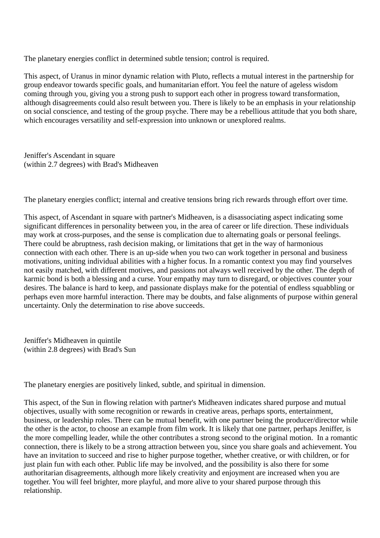The planetary energies conflict in determined subtle tension; control is required.

This aspect, of Uranus in minor dynamic relation with Pluto, reflects a mutual interest in the partnership for group endeavor towards specific goals, and humanitarian effort. You feel the nature of ageless wisdom coming through you, giving you a strong push to support each other in progress toward transformation, although disagreements could also result between you. There is likely to be an emphasis in your relationship on social conscience, and testing of the group psyche. There may be a rebellious attitude that you both share, which encourages versatility and self-expression into unknown or unexplored realms.

Jeniffer's Ascendant in square (within 2.7 degrees) with Brad's Midheaven

The planetary energies conflict; internal and creative tensions bring rich rewards through effort over time.

This aspect, of Ascendant in square with partner's Midheaven, is a disassociating aspect indicating some significant differences in personality between you, in the area of career or life direction. These individuals may work at cross-purposes, and the sense is complication due to alternating goals or personal feelings. There could be abruptness, rash decision making, or limitations that get in the way of harmonious connection with each other. There is an up-side when you two can work together in personal and business motivations, uniting individual abilities with a higher focus. In a romantic context you may find yourselves not easily matched, with different motives, and passions not always well received by the other. The depth of karmic bond is both a blessing and a curse. Your empathy may turn to disregard, or objectives counter your desires. The balance is hard to keep, and passionate displays make for the potential of endless squabbling or perhaps even more harmful interaction. There may be doubts, and false alignments of purpose within general uncertainty. Only the determination to rise above succeeds.

Jeniffer's Midheaven in quintile (within 2.8 degrees) with Brad's Sun

The planetary energies are positively linked, subtle, and spiritual in dimension.

This aspect, of the Sun in flowing relation with partner's Midheaven indicates shared purpose and mutual objectives, usually with some recognition or rewards in creative areas, perhaps sports, entertainment, business, or leadership roles. There can be mutual benefit, with one partner being the producer/director while the other is the actor, to choose an example from film work. It is likely that one partner, perhaps Jeniffer, is the more compelling leader, while the other contributes a strong second to the original motion. In a romantic connection, there is likely to be a strong attraction between you, since you share goals and achievement. You have an invitation to succeed and rise to higher purpose together, whether creative, or with children, or for just plain fun with each other. Public life may be involved, and the possibility is also there for some authoritarian disagreements, although more likely creativity and enjoyment are increased when you are together. You will feel brighter, more playful, and more alive to your shared purpose through this relationship.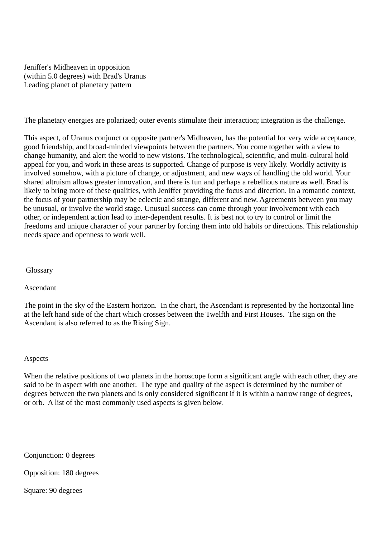Jeniffer's Midheaven in opposition (within 5.0 degrees) with Brad's Uranus Leading planet of planetary pattern

The planetary energies are polarized; outer events stimulate their interaction; integration is the challenge.

This aspect, of Uranus conjunct or opposite partner's Midheaven, has the potential for very wide acceptance, good friendship, and broad-minded viewpoints between the partners. You come together with a view to change humanity, and alert the world to new visions. The technological, scientific, and multi-cultural hold appeal for you, and work in these areas is supported. Change of purpose is very likely. Worldly activity is involved somehow, with a picture of change, or adjustment, and new ways of handling the old world. Your shared altruism allows greater innovation, and there is fun and perhaps a rebellious nature as well. Brad is likely to bring more of these qualities, with Jeniffer providing the focus and direction. In a romantic context, the focus of your partnership may be eclectic and strange, different and new. Agreements between you may be unusual, or involve the world stage. Unusual success can come through your involvement with each other, or independent action lead to inter-dependent results. It is best not to try to control or limit the freedoms and unique character of your partner by forcing them into old habits or directions. This relationship needs space and openness to work well.

Glossary

Ascendant

The point in the sky of the Eastern horizon. In the chart, the Ascendant is represented by the horizontal line at the left hand side of the chart which crosses between the Twelfth and First Houses. The sign on the Ascendant is also referred to as the Rising Sign.

## Aspects

When the relative positions of two planets in the horoscope form a significant angle with each other, they are said to be in aspect with one another. The type and quality of the aspect is determined by the number of degrees between the two planets and is only considered significant if it is within a narrow range of degrees, or orb. A list of the most commonly used aspects is given below.

Conjunction: 0 degrees

Opposition: 180 degrees

Square: 90 degrees